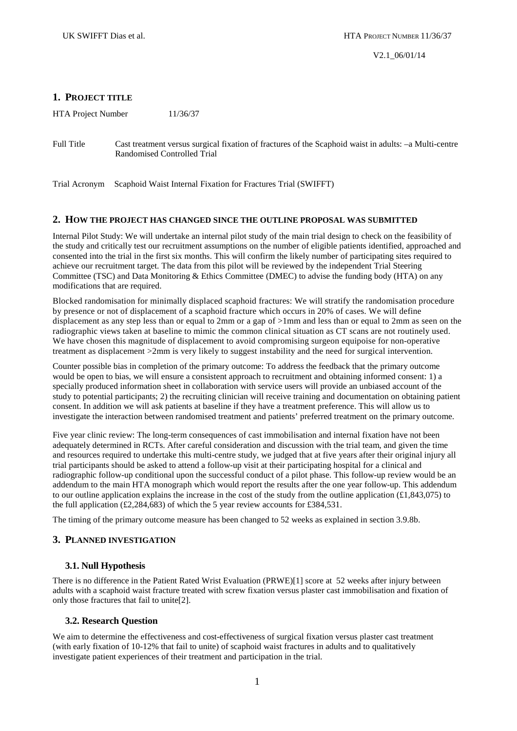# **1. PROJECT TITLE**

HTA Project Number 11/36/37

Trial Acronym Scaphoid Waist Internal Fixation for Fractures Trial (SWIFFT)

## **2. HOW THE PROJECT HAS CHANGED SINCE THE OUTLINE PROPOSAL WAS SUBMITTED**

Internal Pilot Study: We will undertake an internal pilot study of the main trial design to check on the feasibility of the study and critically test our recruitment assumptions on the number of eligible patients identified, approached and consented into the trial in the first six months. This will confirm the likely number of participating sites required to achieve our recruitment target. The data from this pilot will be reviewed by the independent Trial Steering Committee (TSC) and Data Monitoring & Ethics Committee (DMEC) to advise the funding body (HTA) on any modifications that are required.

Blocked randomisation for minimally displaced scaphoid fractures: We will stratify the randomisation procedure by presence or not of displacement of a scaphoid fracture which occurs in 20% of cases. We will define displacement as any step less than or equal to 2mm or a gap of >1mm and less than or equal to 2mm as seen on the radiographic views taken at baseline to mimic the common clinical situation as CT scans are not routinely used. We have chosen this magnitude of displacement to avoid compromising surgeon equipoise for non-operative treatment as displacement >2mm is very likely to suggest instability and the need for surgical intervention.

Counter possible bias in completion of the primary outcome: To address the feedback that the primary outcome would be open to bias, we will ensure a consistent approach to recruitment and obtaining informed consent: 1) a specially produced information sheet in collaboration with service users will provide an unbiased account of the study to potential participants; 2) the recruiting clinician will receive training and documentation on obtaining patient consent. In addition we will ask patients at baseline if they have a treatment preference. This will allow us to investigate the interaction between randomised treatment and patients' preferred treatment on the primary outcome.

Five year clinic review: The long-term consequences of cast immobilisation and internal fixation have not been adequately determined in RCTs. After careful consideration and discussion with the trial team, and given the time and resources required to undertake this multi-centre study, we judged that at five years after their original injury all trial participants should be asked to attend a follow-up visit at their participating hospital for a clinical and radiographic follow-up conditional upon the successful conduct of a pilot phase. This follow-up review would be an addendum to the main HTA monograph which would report the results after the one year follow-up. This addendum to our outline application explains the increase in the cost of the study from the outline application  $(\text{\textsterling}1,843,075)$  to the full application (£2,284,683) of which the 5 year review accounts for £384,531.

The timing of the primary outcome measure has been changed to 52 weeks as explained in section 3.9.8b.

# **3. PLANNED INVESTIGATION**

# **3.1. Null Hypothesis**

There is no difference in the Patient Rated Wrist Evaluation (PRWE)[1] score at 52 weeks after injury between adults with a scaphoid waist fracture treated with screw fixation versus plaster cast immobilisation and fixation of only those fractures that fail to unite[2].

# **3.2. Research Question**

We aim to determine the effectiveness and cost-effectiveness of surgical fixation versus plaster cast treatment (with early fixation of 10-12% that fail to unite) of scaphoid waist fractures in adults and to qualitatively investigate patient experiences of their treatment and participation in the trial.

Full Title Cast treatment versus surgical fixation of fractures of the Scaphoid waist in adults: –a Multi-centre Randomised Controlled Trial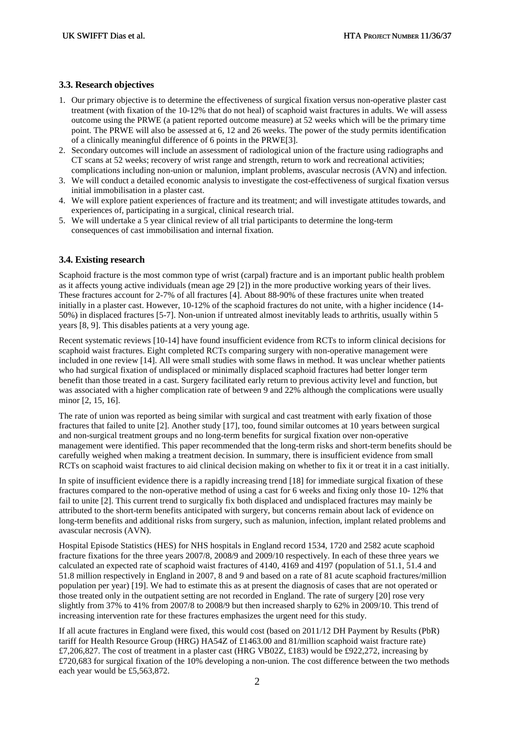# **3.3. Research objectives**

- 1. Our primary objective is to determine the effectiveness of surgical fixation versus non-operative plaster cast treatment (with fixation of the 10-12% that do not heal) of scaphoid waist fractures in adults. We will assess outcome using the PRWE (a patient reported outcome measure) at 52 weeks which will be the primary time point. The PRWE will also be assessed at 6, 12 and 26 weeks. The power of the study permits identification of a clinically meaningful difference of 6 points in the PRWE[3].
- 2. Secondary outcomes will include an assessment of radiological union of the fracture using radiographs and CT scans at 52 weeks; recovery of wrist range and strength, return to work and recreational activities; complications including non-union or malunion, implant problems, avascular necrosis (AVN) and infection.
- 3. We will conduct a detailed economic analysis to investigate the cost-effectiveness of surgical fixation versus initial immobilisation in a plaster cast.
- 4. We will explore patient experiences of fracture and its treatment; and will investigate attitudes towards, and experiences of, participating in a surgical, clinical research trial.
- 5. We will undertake a 5 year clinical review of all trial participants to determine the long-term consequences of cast immobilisation and internal fixation.

# **3.4. Existing research**

Scaphoid fracture is the most common type of wrist (carpal) fracture and is an important public health problem as it affects young active individuals (mean age 29 [2]) in the more productive working years of their lives. These fractures account for 2-7% of all fractures [4]. About 88-90% of these fractures unite when treated initially in a plaster cast. However, 10-12% of the scaphoid fractures do not unite, with a higher incidence (14- 50%) in displaced fractures [5-7]. Non-union if untreated almost inevitably leads to arthritis, usually within 5 years [8, 9]. This disables patients at a very young age.

Recent systematic reviews [10-14] have found insufficient evidence from RCTs to inform clinical decisions for scaphoid waist fractures. Eight completed RCTs comparing surgery with non-operative management were included in one review [14]. All were small studies with some flaws in method. It was unclear whether patients who had surgical fixation of undisplaced or minimally displaced scaphoid fractures had better longer term benefit than those treated in a cast. Surgery facilitated early return to previous activity level and function, but was associated with a higher complication rate of between 9 and 22% although the complications were usually minor [2, 15, 16].

The rate of union was reported as being similar with surgical and cast treatment with early fixation of those fractures that failed to unite [2]. Another study [17], too, found similar outcomes at 10 years between surgical and non-surgical treatment groups and no long-term benefits for surgical fixation over non-operative management were identified. This paper recommended that the long-term risks and short-term benefits should be carefully weighed when making a treatment decision. In summary, there is insufficient evidence from small RCTs on scaphoid waist fractures to aid clinical decision making on whether to fix it or treat it in a cast initially.

In spite of insufficient evidence there is a rapidly increasing trend [18] for immediate surgical fixation of these fractures compared to the non-operative method of using a cast for 6 weeks and fixing only those 10- 12% that fail to unite [2]. This current trend to surgically fix both displaced and undisplaced fractures may mainly be attributed to the short-term benefits anticipated with surgery, but concerns remain about lack of evidence on long-term benefits and additional risks from surgery, such as malunion, infection, implant related problems and avascular necrosis (AVN).

Hospital Episode Statistics (HES) for NHS hospitals in England record 1534, 1720 and 2582 acute scaphoid fracture fixations for the three years 2007/8, 2008/9 and 2009/10 respectively. In each of these three years we calculated an expected rate of scaphoid waist fractures of 4140, 4169 and 4197 (population of 51.1, 51.4 and 51.8 million respectively in England in 2007, 8 and 9 and based on a rate of 81 acute scaphoid fractures/million population per year) [19]. We had to estimate this as at present the diagnosis of cases that are not operated or those treated only in the outpatient setting are not recorded in England. The rate of surgery [20] rose very slightly from 37% to 41% from 2007/8 to 2008/9 but then increased sharply to 62% in 2009/10. This trend of increasing intervention rate for these fractures emphasizes the urgent need for this study.

If all acute fractures in England were fixed, this would cost (based on 2011/12 DH Payment by Results (PbR) tariff for Health Resource Group (HRG) HA54Z of £1463.00 and 81/million scaphoid waist fracture rate) £7,206,827. The cost of treatment in a plaster cast (HRG VB02Z, £183) would be £922,272, increasing by £720,683 for surgical fixation of the 10% developing a non-union. The cost difference between the two methods each year would be £5,563,872.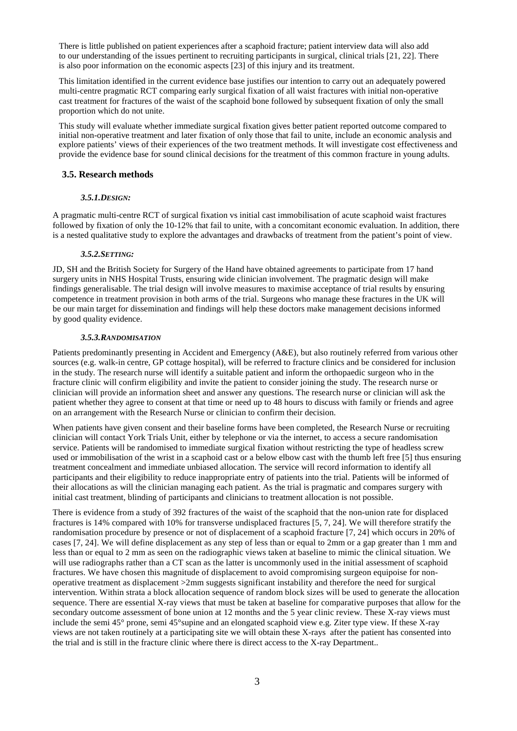There is little published on patient experiences after a scaphoid fracture; patient interview data will also add to our understanding of the issues pertinent to recruiting participants in surgical, clinical trials [21, 22]. There is also poor information on the economic aspects [23] of this injury and its treatment.

This limitation identified in the current evidence base justifies our intention to carry out an adequately powered multi-centre pragmatic RCT comparing early surgical fixation of all waist fractures with initial non-operative cast treatment for fractures of the waist of the scaphoid bone followed by subsequent fixation of only the small proportion which do not unite.

This study will evaluate whether immediate surgical fixation gives better patient reported outcome compared to initial non-operative treatment and later fixation of only those that fail to unite, include an economic analysis and explore patients' views of their experiences of the two treatment methods. It will investigate cost effectiveness and provide the evidence base for sound clinical decisions for the treatment of this common fracture in young adults.

# **3.5. Research methods**

# *3.5.1.DESIGN:*

A pragmatic multi-centre RCT of surgical fixation vs initial cast immobilisation of acute scaphoid waist fractures followed by fixation of only the 10-12% that fail to unite, with a concomitant economic evaluation. In addition, there is a nested qualitative study to explore the advantages and drawbacks of treatment from the patient's point of view.

## *3.5.2.SETTING:*

JD, SH and the British Society for Surgery of the Hand have obtained agreements to participate from 17 hand surgery units in NHS Hospital Trusts, ensuring wide clinician involvement. The pragmatic design will make findings generalisable. The trial design will involve measures to maximise acceptance of trial results by ensuring competence in treatment provision in both arms of the trial. Surgeons who manage these fractures in the UK will be our main target for dissemination and findings will help these doctors make management decisions informed by good quality evidence.

## *3.5.3.RANDOMISATION*

Patients predominantly presenting in Accident and Emergency (A&E), but also routinely referred from various other sources (e.g. walk-in centre, GP cottage hospital), will be referred to fracture clinics and be considered for inclusion in the study. The research nurse will identify a suitable patient and inform the orthopaedic surgeon who in the fracture clinic will confirm eligibility and invite the patient to consider joining the study. The research nurse or clinician will provide an information sheet and answer any questions. The research nurse or clinician will ask the patient whether they agree to consent at that time or need up to 48 hours to discuss with family or friends and agree on an arrangement with the Research Nurse or clinician to confirm their decision.

When patients have given consent and their baseline forms have been completed, the Research Nurse or recruiting clinician will contact York Trials Unit, either by telephone or via the internet, to access a secure randomisation service. Patients will be randomised to immediate surgical fixation without restricting the type of headless screw used or immobilisation of the wrist in a scaphoid cast or a below elbow cast with the thumb left free [5] thus ensuring treatment concealment and immediate unbiased allocation. The service will record information to identify all participants and their eligibility to reduce inappropriate entry of patients into the trial. Patients will be informed of their allocations as will the clinician managing each patient. As the trial is pragmatic and compares surgery with initial cast treatment, blinding of participants and clinicians to treatment allocation is not possible.

There is evidence from a study of 392 fractures of the waist of the scaphoid that the non-union rate for displaced fractures is 14% compared with 10% for transverse undisplaced fractures [5, 7, 24]. We will therefore stratify the randomisation procedure by presence or not of displacement of a scaphoid fracture [7, 24] which occurs in 20% of cases [7, 24]. We will define displacement as any step of less than or equal to 2mm or a gap greater than 1 mm and less than or equal to 2 mm as seen on the radiographic views taken at baseline to mimic the clinical situation. We will use radiographs rather than a CT scan as the latter is uncommonly used in the initial assessment of scaphoid fractures. We have chosen this magnitude of displacement to avoid compromising surgeon equipoise for nonoperative treatment as displacement >2mm suggests significant instability and therefore the need for surgical intervention. Within strata a block allocation sequence of random block sizes will be used to generate the allocation sequence. There are essential X-ray views that must be taken at baseline for comparative purposes that allow for the secondary outcome assessment of bone union at 12 months and the 5 year clinic review. These X-ray views must include the semi 45° prone, semi 45°supine and an elongated scaphoid view e.g. Ziter type view. If these X-ray views are not taken routinely at a participating site we will obtain these X-rays after the patient has consented into the trial and is still in the fracture clinic where there is direct access to the X-ray Department..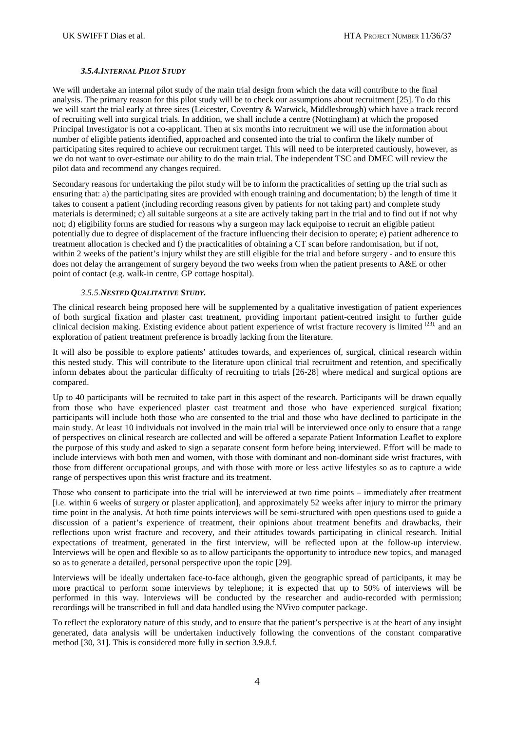# *3.5.4.INTERNAL PILOT STUDY*

We will undertake an internal pilot study of the main trial design from which the data will contribute to the final analysis. The primary reason for this pilot study will be to check our assumptions about recruitment [25]. To do this we will start the trial early at three sites (Leicester, Coventry & Warwick, Middlesbrough) which have a track record of recruiting well into surgical trials. In addition, we shall include a centre (Nottingham) at which the proposed Principal Investigator is not a co-applicant. Then at six months into recruitment we will use the information about number of eligible patients identified, approached and consented into the trial to confirm the likely number of participating sites required to achieve our recruitment target. This will need to be interpreted cautiously, however, as we do not want to over-estimate our ability to do the main trial. The independent TSC and DMEC will review the pilot data and recommend any changes required.

Secondary reasons for undertaking the pilot study will be to inform the practicalities of setting up the trial such as ensuring that: a) the participating sites are provided with enough training and documentation; b) the length of time it takes to consent a patient (including recording reasons given by patients for not taking part) and complete study materials is determined; c) all suitable surgeons at a site are actively taking part in the trial and to find out if not why not; d) eligibility forms are studied for reasons why a surgeon may lack equipoise to recruit an eligible patient potentially due to degree of displacement of the fracture influencing their decision to operate; e) patient adherence to treatment allocation is checked and f) the practicalities of obtaining a CT scan before randomisation, but if not, within 2 weeks of the patient's injury whilst they are still eligible for the trial and before surgery - and to ensure this does not delay the arrangement of surgery beyond the two weeks from when the patient presents to A&E or other point of contact (e.g. walk-in centre, GP cottage hospital).

# *3.5.5.NESTED QUALITATIVE STUDY.*

The clinical research being proposed here will be supplemented by a qualitative investigation of patient experiences of both surgical fixation and plaster cast treatment, providing important patient-centred insight to further guide clinical decision making. Existing evidence about patient experience of wrist fracture recovery is limited  $^{(23)}$  and an exploration of patient treatment preference is broadly lacking from the literature.

It will also be possible to explore patients' attitudes towards, and experiences of, surgical, clinical research within this nested study. This will contribute to the literature upon clinical trial recruitment and retention, and specifically inform debates about the particular difficulty of recruiting to trials [26-28] where medical and surgical options are compared.

Up to 40 participants will be recruited to take part in this aspect of the research. Participants will be drawn equally from those who have experienced plaster cast treatment and those who have experienced surgical fixation; participants will include both those who are consented to the trial and those who have declined to participate in the main study. At least 10 individuals not involved in the main trial will be interviewed once only to ensure that a range of perspectives on clinical research are collected and will be offered a separate Patient Information Leaflet to explore the purpose of this study and asked to sign a separate consent form before being interviewed. Effort will be made to include interviews with both men and women, with those with dominant and non-dominant side wrist fractures, with those from different occupational groups, and with those with more or less active lifestyles so as to capture a wide range of perspectives upon this wrist fracture and its treatment.

Those who consent to participate into the trial will be interviewed at two time points – immediately after treatment [i.e. within 6 weeks of surgery or plaster application], and approximately 52 weeks after injury to mirror the primary time point in the analysis. At both time points interviews will be semi-structured with open questions used to guide a discussion of a patient's experience of treatment, their opinions about treatment benefits and drawbacks, their reflections upon wrist fracture and recovery, and their attitudes towards participating in clinical research. Initial expectations of treatment, generated in the first interview, will be reflected upon at the follow-up interview. Interviews will be open and flexible so as to allow participants the opportunity to introduce new topics, and managed so as to generate a detailed, personal perspective upon the topic [29].

Interviews will be ideally undertaken face-to-face although, given the geographic spread of participants, it may be more practical to perform some interviews by telephone; it is expected that up to 50% of interviews will be performed in this way. Interviews will be conducted by the researcher and audio-recorded with permission; recordings will be transcribed in full and data handled using the NVivo computer package.

To reflect the exploratory nature of this study, and to ensure that the patient's perspective is at the heart of any insight generated, data analysis will be undertaken inductively following the conventions of the constant comparative method [30, 31]. This is considered more fully in section 3.9.8.f.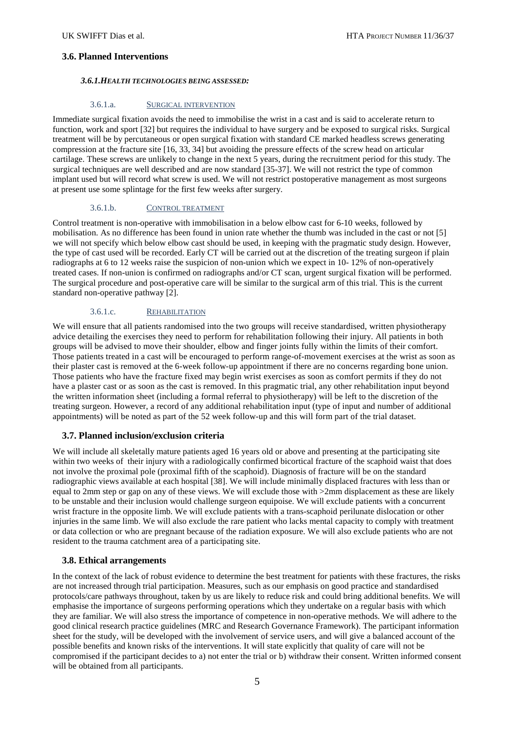## **3.6. Planned Interventions**

## *3.6.1.HEALTH TECHNOLOGIES BEING ASSESSED:*

#### 3.6.1.a. SURGICAL INTERVENTION

Immediate surgical fixation avoids the need to immobilise the wrist in a cast and is said to accelerate return to function, work and sport [32] but requires the individual to have surgery and be exposed to surgical risks. Surgical treatment will be by percutaneous or open surgical fixation with standard CE marked headless screws generating compression at the fracture site [16, 33, 34] but avoiding the pressure effects of the screw head on articular cartilage. These screws are unlikely to change in the next 5 years, during the recruitment period for this study. The surgical techniques are well described and are now standard [35-37]. We will not restrict the type of common implant used but will record what screw is used. We will not restrict postoperative management as most surgeons at present use some splintage for the first few weeks after surgery.

#### 3.6.1.b. CONTROL TREATMENT

Control treatment is non-operative with immobilisation in a below elbow cast for 6-10 weeks, followed by mobilisation. As no difference has been found in union rate whether the thumb was included in the cast or not [5] we will not specify which below elbow cast should be used, in keeping with the pragmatic study design. However, the type of cast used will be recorded. Early CT will be carried out at the discretion of the treating surgeon if plain radiographs at 6 to 12 weeks raise the suspicion of non-union which we expect in 10- 12% of non-operatively treated cases. If non-union is confirmed on radiographs and/or CT scan, urgent surgical fixation will be performed. The surgical procedure and post-operative care will be similar to the surgical arm of this trial. This is the current standard non-operative pathway [2].

#### 3.6.1.c. REHABILITATION

We will ensure that all patients randomised into the two groups will receive standardised, written physiotherapy advice detailing the exercises they need to perform for rehabilitation following their injury. All patients in both groups will be advised to move their shoulder, elbow and finger joints fully within the limits of their comfort. Those patients treated in a cast will be encouraged to perform range-of-movement exercises at the wrist as soon as their plaster cast is removed at the 6-week follow-up appointment if there are no concerns regarding bone union. Those patients who have the fracture fixed may begin wrist exercises as soon as comfort permits if they do not have a plaster cast or as soon as the cast is removed. In this pragmatic trial, any other rehabilitation input beyond the written information sheet (including a formal referral to physiotherapy) will be left to the discretion of the treating surgeon. However, a record of any additional rehabilitation input (type of input and number of additional appointments) will be noted as part of the 52 week follow-up and this will form part of the trial dataset.

# **3.7. Planned inclusion/exclusion criteria**

We will include all skeletally mature patients aged 16 years old or above and presenting at the participating site within two weeks of their injury with a radiologically confirmed bicortical fracture of the scaphoid waist that does not involve the proximal pole (proximal fifth of the scaphoid). Diagnosis of fracture will be on the standard radiographic views available at each hospital [38]. We will include minimally displaced fractures with less than or equal to 2mm step or gap on any of these views. We will exclude those with >2mm displacement as these are likely to be unstable and their inclusion would challenge surgeon equipoise. We will exclude patients with a concurrent wrist fracture in the opposite limb. We will exclude patients with a trans-scaphoid perilunate dislocation or other injuries in the same limb. We will also exclude the rare patient who lacks mental capacity to comply with treatment or data collection or who are pregnant because of the radiation exposure. We will also exclude patients who are not resident to the trauma catchment area of a participating site.

#### **3.8. Ethical arrangements**

In the context of the lack of robust evidence to determine the best treatment for patients with these fractures, the risks are not increased through trial participation. Measures, such as our emphasis on good practice and standardised protocols/care pathways throughout, taken by us are likely to reduce risk and could bring additional benefits. We will emphasise the importance of surgeons performing operations which they undertake on a regular basis with which they are familiar. We will also stress the importance of competence in non-operative methods. We will adhere to the good clinical research practice guidelines (MRC and Research Governance Framework). The participant information sheet for the study, will be developed with the involvement of service users, and will give a balanced account of the possible benefits and known risks of the interventions. It will state explicitly that quality of care will not be compromised if the participant decides to a) not enter the trial or b) withdraw their consent. Written informed consent will be obtained from all participants.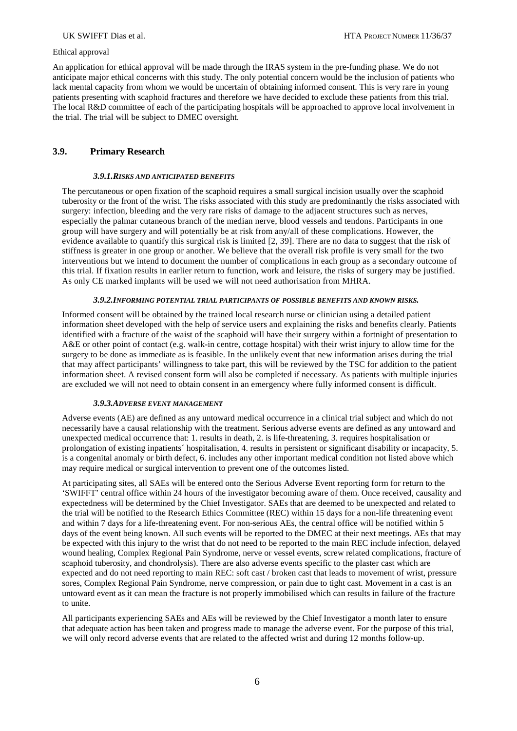#### Ethical approval

An application for ethical approval will be made through the IRAS system in the pre-funding phase. We do not anticipate major ethical concerns with this study. The only potential concern would be the inclusion of patients who lack mental capacity from whom we would be uncertain of obtaining informed consent. This is very rare in young patients presenting with scaphoid fractures and therefore we have decided to exclude these patients from this trial. The local R&D committee of each of the participating hospitals will be approached to approve local involvement in the trial. The trial will be subject to DMEC oversight.

# **3.9. Primary Research**

#### *3.9.1.RISKS AND ANTICIPATED BENEFITS*

The percutaneous or open fixation of the scaphoid requires a small surgical incision usually over the scaphoid tuberosity or the front of the wrist. The risks associated with this study are predominantly the risks associated with surgery: infection, bleeding and the very rare risks of damage to the adjacent structures such as nerves, especially the palmar cutaneous branch of the median nerve, blood vessels and tendons. Participants in one group will have surgery and will potentially be at risk from any/all of these complications. However, the evidence available to quantify this surgical risk is limited [2, 39]. There are no data to suggest that the risk of stiffness is greater in one group or another. We believe that the overall risk profile is very small for the two interventions but we intend to document the number of complications in each group as a secondary outcome of this trial. If fixation results in earlier return to function, work and leisure, the risks of surgery may be justified. As only CE marked implants will be used we will not need authorisation from MHRA.

## *3.9.2.INFORMING POTENTIAL TRIAL PARTICIPANTS OF POSSIBLE BENEFITS AND KNOWN RISKS.*

Informed consent will be obtained by the trained local research nurse or clinician using a detailed patient information sheet developed with the help of service users and explaining the risks and benefits clearly. Patients identified with a fracture of the waist of the scaphoid will have their surgery within a fortnight of presentation to A&E or other point of contact (e.g. walk-in centre, cottage hospital) with their wrist injury to allow time for the surgery to be done as immediate as is feasible. In the unlikely event that new information arises during the trial that may affect participants' willingness to take part, this will be reviewed by the TSC for addition to the patient information sheet. A revised consent form will also be completed if necessary. As patients with multiple injuries are excluded we will not need to obtain consent in an emergency where fully informed consent is difficult.

# *3.9.3.ADVERSE EVENT MANAGEMENT*

Adverse events (AE) are defined as any untoward medical occurrence in a clinical trial subject and which do not necessarily have a causal relationship with the treatment. Serious adverse events are defined as any untoward and unexpected medical occurrence that: 1. results in death, 2. is life-threatening, 3. requires hospitalisation or prolongation of existing inpatients´ hospitalisation, 4. results in persistent or significant disability or incapacity, 5. is a congenital anomaly or birth defect, 6. includes any other important medical condition not listed above which may require medical or surgical intervention to prevent one of the outcomes listed.

At participating sites, all SAEs will be entered onto the Serious Adverse Event reporting form for return to the 'SWIFFT' central office within 24 hours of the investigator becoming aware of them. Once received, causality and expectedness will be determined by the Chief Investigator. SAEs that are deemed to be unexpected and related to the trial will be notified to the Research Ethics Committee (REC) within 15 days for a non-life threatening event and within 7 days for a life-threatening event. For non-serious AEs, the central office will be notified within 5 days of the event being known. All such events will be reported to the DMEC at their next meetings. AEs that may be expected with this injury to the wrist that do not need to be reported to the main REC include infection, delayed wound healing, Complex Regional Pain Syndrome, nerve or vessel events, screw related complications, fracture of scaphoid tuberosity, and chondrolysis). There are also adverse events specific to the plaster cast which are expected and do not need reporting to main REC: soft cast / broken cast that leads to movement of wrist, pressure sores, Complex Regional Pain Syndrome, nerve compression, or pain due to tight cast. Movement in a cast is an untoward event as it can mean the fracture is not properly immobilised which can results in failure of the fracture to unite.

All participants experiencing SAEs and AEs will be reviewed by the Chief Investigator a month later to ensure that adequate action has been taken and progress made to manage the adverse event. For the purpose of this trial, we will only record adverse events that are related to the affected wrist and during 12 months follow-up.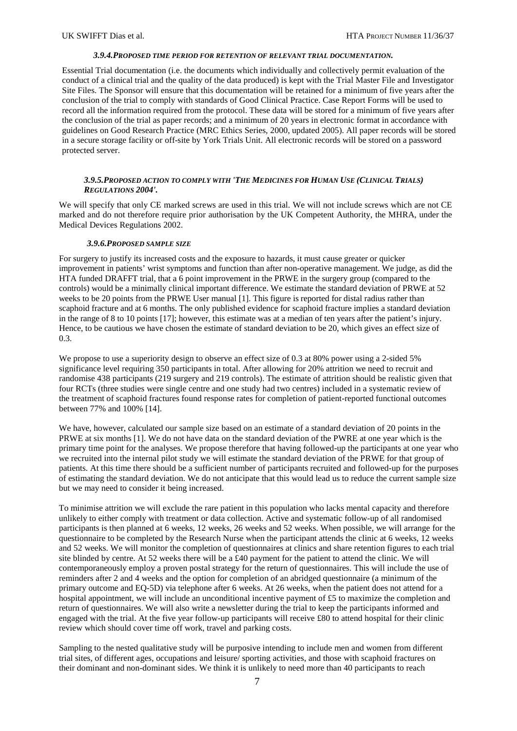#### *3.9.4.PROPOSED TIME PERIOD FOR RETENTION OF RELEVANT TRIAL DOCUMENTATION.*

Essential Trial documentation (i.e. the documents which individually and collectively permit evaluation of the conduct of a clinical trial and the quality of the data produced) is kept with the Trial Master File and Investigator Site Files. The Sponsor will ensure that this documentation will be retained for a minimum of five years after the conclusion of the trial to comply with standards of Good Clinical Practice. Case Report Forms will be used to record all the information required from the protocol. These data will be stored for a minimum of five years after the conclusion of the trial as paper records; and a minimum of 20 years in electronic format in accordance with guidelines on Good Research Practice (MRC Ethics Series, 2000, updated 2005). All paper records will be stored in a secure storage facility or off-site by York Trials Unit. All electronic records will be stored on a password protected server.

#### *3.9.5.PROPOSED ACTION TO COMPLY WITH 'THE MEDICINES FOR HUMAN USE (CLINICAL TRIALS) REGULATIONS 2004'.*

We will specify that only CE marked screws are used in this trial. We will not include screws which are not CE marked and do not therefore require prior authorisation by the UK Competent Authority, the MHRA, under the Medical Devices Regulations 2002.

#### *3.9.6.PROPOSED SAMPLE SIZE*

For surgery to justify its increased costs and the exposure to hazards, it must cause greater or quicker improvement in patients' wrist symptoms and function than after non-operative management. We judge, as did the HTA funded DRAFFT trial, that a 6 point improvement in the PRWE in the surgery group (compared to the controls) would be a minimally clinical important difference. We estimate the standard deviation of PRWE at 52 weeks to be 20 points from the PRWE User manual [1]. This figure is reported for distal radius rather than scaphoid fracture and at 6 months. The only published evidence for scaphoid fracture implies a standard deviation in the range of 8 to 10 points [17]; however, this estimate was at a median of ten years after the patient's injury. Hence, to be cautious we have chosen the estimate of standard deviation to be 20, which gives an effect size of 0.3.

We propose to use a superiority design to observe an effect size of 0.3 at 80% power using a 2-sided 5% significance level requiring 350 participants in total. After allowing for 20% attrition we need to recruit and randomise 438 participants (219 surgery and 219 controls). The estimate of attrition should be realistic given that four RCTs (three studies were single centre and one study had two centres) included in a systematic review of the treatment of scaphoid fractures found response rates for completion of patient-reported functional outcomes between 77% and 100% [14].

We have, however, calculated our sample size based on an estimate of a standard deviation of 20 points in the PRWE at six months [1]. We do not have data on the standard deviation of the PWRE at one year which is the primary time point for the analyses. We propose therefore that having followed-up the participants at one year who we recruited into the internal pilot study we will estimate the standard deviation of the PRWE for that group of patients. At this time there should be a sufficient number of participants recruited and followed-up for the purposes of estimating the standard deviation. We do not anticipate that this would lead us to reduce the current sample size but we may need to consider it being increased.

To minimise attrition we will exclude the rare patient in this population who lacks mental capacity and therefore unlikely to either comply with treatment or data collection. Active and systematic follow-up of all randomised participants is then planned at 6 weeks, 12 weeks, 26 weeks and 52 weeks. When possible, we will arrange for the questionnaire to be completed by the Research Nurse when the participant attends the clinic at 6 weeks, 12 weeks and 52 weeks. We will monitor the completion of questionnaires at clinics and share retention figures to each trial site blinded by centre. At 52 weeks there will be a £40 payment for the patient to attend the clinic. We will contemporaneously employ a proven postal strategy for the return of questionnaires. This will include the use of reminders after 2 and 4 weeks and the option for completion of an abridged questionnaire (a minimum of the primary outcome and EQ-5D) via telephone after 6 weeks. At 26 weeks, when the patient does not attend for a hospital appointment, we will include an unconditional incentive payment of £5 to maximize the completion and return of questionnaires. We will also write a newsletter during the trial to keep the participants informed and engaged with the trial. At the five year follow-up participants will receive £80 to attend hospital for their clinic review which should cover time off work, travel and parking costs.

Sampling to the nested qualitative study will be purposive intending to include men and women from different trial sites, of different ages, occupations and leisure/ sporting activities, and those with scaphoid fractures on their dominant and non-dominant sides. We think it is unlikely to need more than 40 participants to reach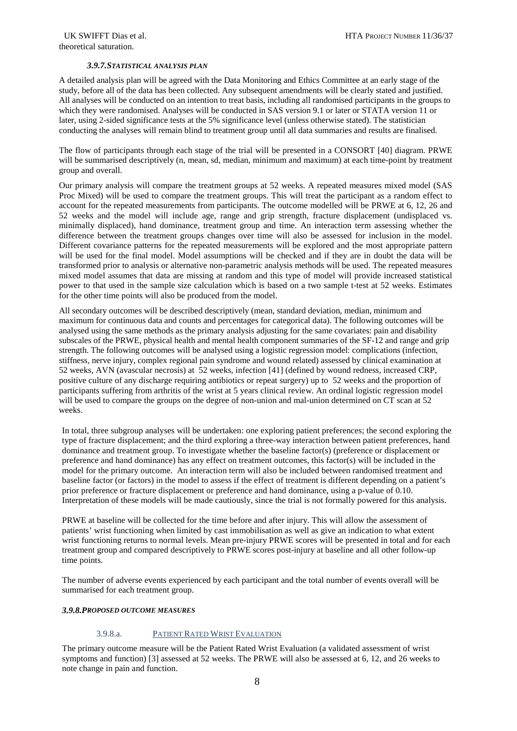## *3.9.7.STATISTICAL ANALYSIS PLAN*

A detailed analysis plan will be agreed with the Data Monitoring and Ethics Committee at an early stage of the study, before all of the data has been collected. Any subsequent amendments will be clearly stated and justified. All analyses will be conducted on an intention to treat basis, including all randomised participants in the groups to which they were randomised. Analyses will be conducted in SAS version 9.1 or later or STATA version 11 or later, using 2-sided significance tests at the 5% significance level (unless otherwise stated). The statistician conducting the analyses will remain blind to treatment group until all data summaries and results are finalised.

The flow of participants through each stage of the trial will be presented in a CONSORT [40] diagram. PRWE will be summarised descriptively (n, mean, sd, median, minimum and maximum) at each time-point by treatment group and overall.

Our primary analysis will compare the treatment groups at 52 weeks. A repeated measures mixed model (SAS Proc Mixed) will be used to compare the treatment groups. This will treat the participant as a random effect to account for the repeated measurements from participants. The outcome modelled will be PRWE at 6, 12, 26 and 52 weeks and the model will include age, range and grip strength, fracture displacement (undisplaced vs. minimally displaced), hand dominance, treatment group and time. An interaction term assessing whether the difference between the treatment groups changes over time will also be assessed for inclusion in the model. Different covariance patterns for the repeated measurements will be explored and the most appropriate pattern will be used for the final model. Model assumptions will be checked and if they are in doubt the data will be transformed prior to analysis or alternative non-parametric analysis methods will be used. The repeated measures mixed model assumes that data are missing at random and this type of model will provide increased statistical power to that used in the sample size calculation which is based on a two sample t-test at 52 weeks. Estimates for the other time points will also be produced from the model.

All secondary outcomes will be described descriptively (mean, standard deviation, median, minimum and maximum for continuous data and counts and percentages for categorical data). The following outcomes will be analysed using the same methods as the primary analysis adjusting for the same covariates: pain and disability subscales of the PRWE, physical health and mental health component summaries of the SF-12 and range and grip strength. The following outcomes will be analysed using a logistic regression model: complications (infection, stiffness, nerve injury, complex regional pain syndrome and wound related) assessed by clinical examination at 52 weeks, AVN (avascular necrosis) at 52 weeks, infection [41] (defined by wound redness, increased CRP, positive culture of any discharge requiring antibiotics or repeat surgery) up to 52 weeks and the proportion of participants suffering from arthritis of the wrist at 5 years clinical review. An ordinal logistic regression model will be used to compare the groups on the degree of non-union and mal-union determined on CT scan at 52 weeks.

In total, three subgroup analyses will be undertaken: one exploring patient preferences; the second exploring the type of fracture displacement; and the third exploring a three-way interaction between patient preferences, hand dominance and treatment group. To investigate whether the baseline factor(s) (preference or displacement or preference and hand dominance) has any effect on treatment outcomes, this factor(s) will be included in the model for the primary outcome. An interaction term will also be included between randomised treatment and baseline factor (or factors) in the model to assess if the effect of treatment is different depending on a patient's prior preference or fracture displacement or preference and hand dominance, using a p-value of 0.10. Interpretation of these models will be made cautiously, since the trial is not formally powered for this analysis.

PRWE at baseline will be collected for the time before and after injury. This will allow the assessment of patients' wrist functioning when limited by cast immobilisation as well as give an indication to what extent wrist functioning returns to normal levels. Mean pre-injury PRWE scores will be presented in total and for each treatment group and compared descriptively to PRWE scores post-injury at baseline and all other follow-up time points.

The number of adverse events experienced by each participant and the total number of events overall will be summarised for each treatment group.

#### *3.9.8.PROPOSED OUTCOME MEASURES*

# 3.9.8.a. PATIENT RATED WRIST EVALUATION

The primary outcome measure will be the Patient Rated Wrist Evaluation (a validated assessment of wrist symptoms and function) [3] assessed at 52 weeks. The PRWE will also be assessed at 6, 12, and 26 weeks to note change in pain and function.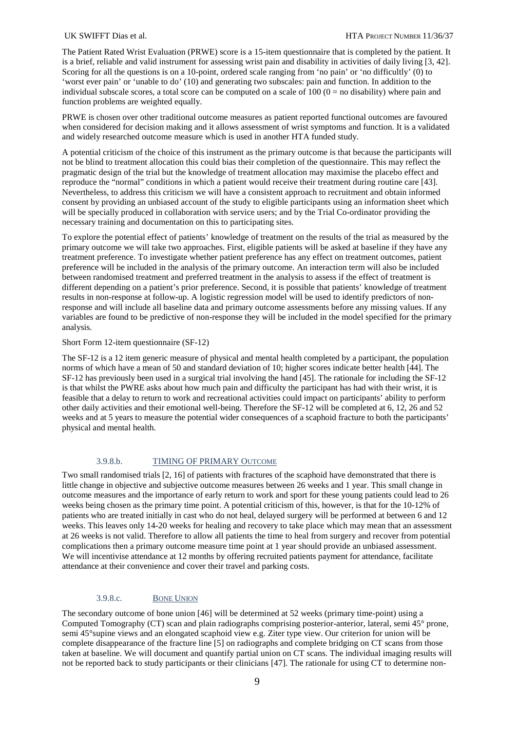The Patient Rated Wrist Evaluation (PRWE) score is a 15-item questionnaire that is completed by the patient. It is a brief, reliable and valid instrument for assessing wrist pain and disability in activities of daily living [3, 42]. Scoring for all the questions is on a 10-point, ordered scale ranging from 'no pain' or 'no difficultly' (0) to 'worst ever pain' or 'unable to do' (10) and generating two subscales: pain and function. In addition to the individual subscale scores, a total score can be computed on a scale of  $100 (0 =$  no disability) where pain and function problems are weighted equally.

PRWE is chosen over other traditional outcome measures as patient reported functional outcomes are favoured when considered for decision making and it allows assessment of wrist symptoms and function. It is a validated and widely researched outcome measure which is used in another HTA funded study.

A potential criticism of the choice of this instrument as the primary outcome is that because the participants will not be blind to treatment allocation this could bias their completion of the questionnaire. This may reflect the pragmatic design of the trial but the knowledge of treatment allocation may maximise the placebo effect and reproduce the "normal" conditions in which a patient would receive their treatment during routine care [43]. Nevertheless, to address this criticism we will have a consistent approach to recruitment and obtain informed consent by providing an unbiased account of the study to eligible participants using an information sheet which will be specially produced in collaboration with service users; and by the Trial Co-ordinator providing the necessary training and documentation on this to participating sites.

To explore the potential effect of patients' knowledge of treatment on the results of the trial as measured by the primary outcome we will take two approaches. First, eligible patients will be asked at baseline if they have any treatment preference. To investigate whether patient preference has any effect on treatment outcomes, patient preference will be included in the analysis of the primary outcome. An interaction term will also be included between randomised treatment and preferred treatment in the analysis to assess if the effect of treatment is different depending on a patient's prior preference. Second, it is possible that patients' knowledge of treatment results in non-response at follow-up. A logistic regression model will be used to identify predictors of nonresponse and will include all baseline data and primary outcome assessments before any missing values. If any variables are found to be predictive of non-response they will be included in the model specified for the primary analysis.

### Short Form 12-item questionnaire (SF-12)

The SF-12 is a 12 item generic measure of physical and mental health completed by a participant, the population norms of which have a mean of 50 and standard deviation of 10; higher scores indicate better health [44]. The SF-12 has previously been used in a surgical trial involving the hand [45]. The rationale for including the SF-12 is that whilst the PWRE asks about how much pain and difficulty the participant has had with their wrist, it is feasible that a delay to return to work and recreational activities could impact on participants' ability to perform other daily activities and their emotional well-being. Therefore the SF-12 will be completed at 6, 12, 26 and 52 weeks and at 5 years to measure the potential wider consequences of a scaphoid fracture to both the participants' physical and mental health.

## 3.9.8.b. TIMING OF PRIMARY OUTCOME

Two small randomised trials [2, 16] of patients with fractures of the scaphoid have demonstrated that there is little change in objective and subjective outcome measures between 26 weeks and 1 year. This small change in outcome measures and the importance of early return to work and sport for these young patients could lead to 26 weeks being chosen as the primary time point. A potential criticism of this, however, is that for the 10-12% of patients who are treated initially in cast who do not heal, delayed surgery will be performed at between 6 and 12 weeks. This leaves only 14-20 weeks for healing and recovery to take place which may mean that an assessment at 26 weeks is not valid. Therefore to allow all patients the time to heal from surgery and recover from potential complications then a primary outcome measure time point at 1 year should provide an unbiased assessment. We will incentivise attendance at 12 months by offering recruited patients payment for attendance, facilitate attendance at their convenience and cover their travel and parking costs.

#### 3.9.8.c. BONE UNION

The secondary outcome of bone union [46] will be determined at 52 weeks (primary time-point) using a Computed Tomography (CT) scan and plain radiographs comprising posterior-anterior, lateral, semi 45° prone, semi 45°supine views and an elongated scaphoid view e.g. Ziter type view. Our criterion for union will be complete disappearance of the fracture line [5] on radiographs and complete bridging on CT scans from those taken at baseline. We will document and quantify partial union on CT scans. The individual imaging results will not be reported back to study participants or their clinicians [47]. The rationale for using CT to determine non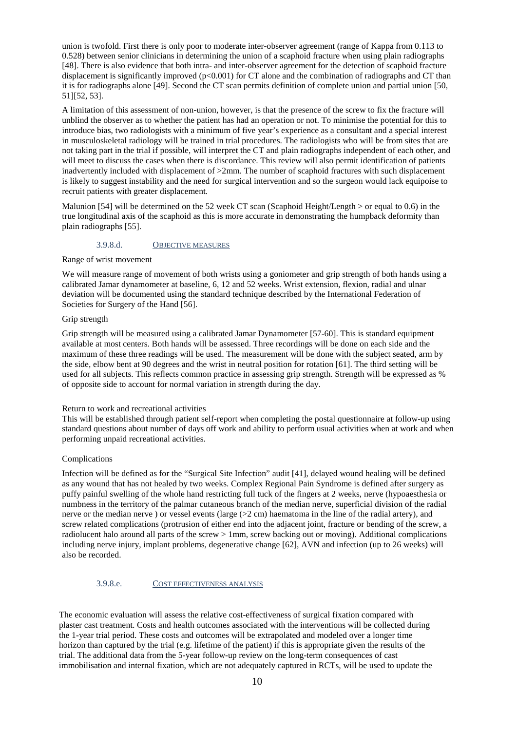union is twofold. First there is only poor to moderate inter-observer agreement (range of Kappa from 0.113 to 0.528) between senior clinicians in determining the union of a scaphoid fracture when using plain radiographs [48]. There is also evidence that both intra- and inter-observer agreement for the detection of scaphoid fracture displacement is significantly improved (p<0.001) for CT alone and the combination of radiographs and CT than it is for radiographs alone [49]. Second the CT scan permits definition of complete union and partial union [50, 51][52, 53].

A limitation of this assessment of non-union, however, is that the presence of the screw to fix the fracture will unblind the observer as to whether the patient has had an operation or not. To minimise the potential for this to introduce bias, two radiologists with a minimum of five year's experience as a consultant and a special interest in musculoskeletal radiology will be trained in trial procedures. The radiologists who will be from sites that are not taking part in the trial if possible, will interpret the CT and plain radiographs independent of each other, and will meet to discuss the cases when there is discordance. This review will also permit identification of patients inadvertently included with displacement of >2mm. The number of scaphoid fractures with such displacement is likely to suggest instability and the need for surgical intervention and so the surgeon would lack equipoise to recruit patients with greater displacement.

Malunion [54] will be determined on the 52 week CT scan (Scaphoid Height/Length > or equal to 0.6) in the true longitudinal axis of the scaphoid as this is more accurate in demonstrating the humpback deformity than plain radiographs [55].

#### 3.9.8.d. OBJECTIVE MEASURES

#### Range of wrist movement

We will measure range of movement of both wrists using a goniometer and grip strength of both hands using a calibrated Jamar dynamometer at baseline, 6, 12 and 52 weeks. Wrist extension, flexion, radial and ulnar deviation will be documented using the standard technique described by the International Federation of Societies for Surgery of the Hand [56].

# Grip strength

Grip strength will be measured using a calibrated Jamar Dynamometer [57-60]. This is standard equipment available at most centers. Both hands will be assessed. Three recordings will be done on each side and the maximum of these three readings will be used. The measurement will be done with the subject seated, arm by the side, elbow bent at 90 degrees and the wrist in neutral position for rotation [61]. The third setting will be used for all subjects. This reflects common practice in assessing grip strength. Strength will be expressed as % of opposite side to account for normal variation in strength during the day.

#### Return to work and recreational activities

This will be established through patient self-report when completing the postal questionnaire at follow-up using standard questions about number of days off work and ability to perform usual activities when at work and when performing unpaid recreational activities.

#### Complications

Infection will be defined as for the "Surgical Site Infection" audit [41], delayed wound healing will be defined as any wound that has not healed by two weeks. Complex Regional Pain Syndrome is defined after surgery as puffy painful swelling of the whole hand restricting full tuck of the fingers at 2 weeks, nerve (hypoaesthesia or numbness in the territory of the palmar cutaneous branch of the median nerve, superficial division of the radial nerve or the median nerve ) or vessel events (large (>2 cm) haematoma in the line of the radial artery), and screw related complications (protrusion of either end into the adjacent joint, fracture or bending of the screw, a radiolucent halo around all parts of the screw > 1mm, screw backing out or moving). Additional complications including nerve injury, implant problems, degenerative change [62], AVN and infection (up to 26 weeks) will also be recorded.

# 3.9.8.e. COST EFFECTIVENESS ANALYSIS

The economic evaluation will assess the relative cost-effectiveness of surgical fixation compared with plaster cast treatment. Costs and health outcomes associated with the interventions will be collected during the 1-year trial period. These costs and outcomes will be extrapolated and modeled over a longer time horizon than captured by the trial (e.g. lifetime of the patient) if this is appropriate given the results of the trial. The additional data from the 5-year follow-up review on the long-term consequences of cast immobilisation and internal fixation, which are not adequately captured in RCTs, will be used to update the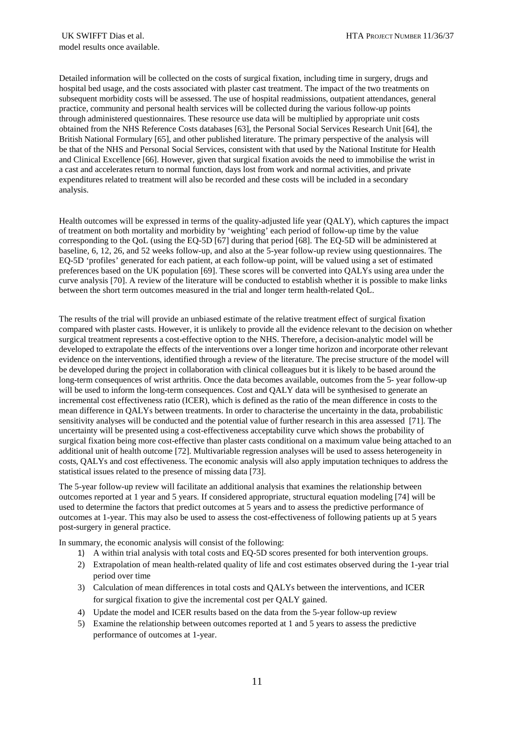Detailed information will be collected on the costs of surgical fixation, including time in surgery, drugs and hospital bed usage, and the costs associated with plaster cast treatment. The impact of the two treatments on subsequent morbidity costs will be assessed. The use of hospital readmissions, outpatient attendances, general practice, community and personal health services will be collected during the various follow-up points through administered questionnaires. These resource use data will be multiplied by appropriate unit costs obtained from the NHS Reference Costs databases [63], the Personal Social Services Research Unit [64], the British National Formulary [65], and other published literature. The primary perspective of the analysis will be that of the NHS and Personal Social Services, consistent with that used by the National Institute for Health and Clinical Excellence [66]. However, given that surgical fixation avoids the need to immobilise the wrist in a cast and accelerates return to normal function, days lost from work and normal activities, and private expenditures related to treatment will also be recorded and these costs will be included in a secondary analysis.

Health outcomes will be expressed in terms of the quality-adjusted life year (QALY), which captures the impact of treatment on both mortality and morbidity by 'weighting' each period of follow-up time by the value corresponding to the QoL (using the EQ-5D [67] during that period [68]. The EQ-5D will be administered at baseline, 6, 12, 26, and 52 weeks follow-up, and also at the 5-year follow-up review using questionnaires. The EQ-5D 'profiles' generated for each patient, at each follow-up point, will be valued using a set of estimated preferences based on the UK population [69]. These scores will be converted into QALYs using area under the curve analysis [70]. A review of the literature will be conducted to establish whether it is possible to make links between the short term outcomes measured in the trial and longer term health-related QoL.

The results of the trial will provide an unbiased estimate of the relative treatment effect of surgical fixation compared with plaster casts. However, it is unlikely to provide all the evidence relevant to the decision on whether surgical treatment represents a cost-effective option to the NHS. Therefore, a decision-analytic model will be developed to extrapolate the effects of the interventions over a longer time horizon and incorporate other relevant evidence on the interventions, identified through a review of the literature. The precise structure of the model will be developed during the project in collaboration with clinical colleagues but it is likely to be based around the long-term consequences of wrist arthritis. Once the data becomes available, outcomes from the 5- year follow-up will be used to inform the long-term consequences. Cost and QALY data will be synthesised to generate an incremental cost effectiveness ratio (ICER), which is defined as the ratio of the mean difference in costs to the mean difference in QALYs between treatments. In order to characterise the uncertainty in the data, probabilistic sensitivity analyses will be conducted and the potential value of further research in this area assessed [71]. The uncertainty will be presented using a cost-effectiveness acceptability curve which shows the probability of surgical fixation being more cost-effective than plaster casts conditional on a maximum value being attached to an additional unit of health outcome [72]. Multivariable regression analyses will be used to assess heterogeneity in costs, QALYs and cost effectiveness. The economic analysis will also apply imputation techniques to address the statistical issues related to the presence of missing data [73].

The 5-year follow-up review will facilitate an additional analysis that examines the relationship between outcomes reported at 1 year and 5 years. If considered appropriate, structural equation modeling [74] will be used to determine the factors that predict outcomes at 5 years and to assess the predictive performance of outcomes at 1-year. This may also be used to assess the cost-effectiveness of following patients up at 5 years post-surgery in general practice.

In summary, the economic analysis will consist of the following:

- 1) A within trial analysis with total costs and EQ-5D scores presented for both intervention groups.
- 2) Extrapolation of mean health-related quality of life and cost estimates observed during the 1-year trial period over time
- 3) Calculation of mean differences in total costs and QALYs between the interventions, and ICER for surgical fixation to give the incremental cost per QALY gained.
- 4) Update the model and ICER results based on the data from the 5-year follow-up review
- 5) Examine the relationship between outcomes reported at 1 and 5 years to assess the predictive performance of outcomes at 1-year.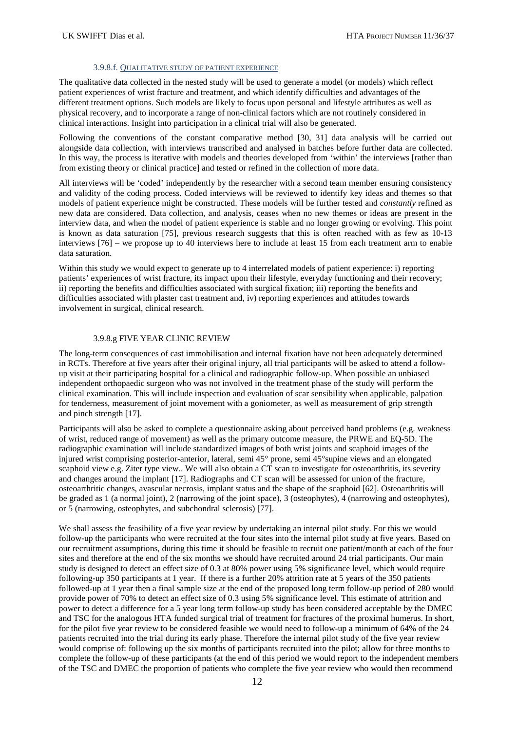#### 3.9.8.f. QUALITATIVE STUDY OF PATIENT EXPERIENCE

The qualitative data collected in the nested study will be used to generate a model (or models) which reflect patient experiences of wrist fracture and treatment, and which identify difficulties and advantages of the different treatment options. Such models are likely to focus upon personal and lifestyle attributes as well as physical recovery, and to incorporate a range of non-clinical factors which are not routinely considered in clinical interactions. Insight into participation in a clinical trial will also be generated.

Following the conventions of the constant comparative method [30, 31] data analysis will be carried out alongside data collection, with interviews transcribed and analysed in batches before further data are collected. In this way, the process is iterative with models and theories developed from 'within' the interviews [rather than from existing theory or clinical practice] and tested or refined in the collection of more data.

All interviews will be 'coded' independently by the researcher with a second team member ensuring consistency and validity of the coding process. Coded interviews will be reviewed to identify key ideas and themes so that models of patient experience might be constructed. These models will be further tested and *constantly* refined as new data are considered. Data collection, and analysis, ceases when no new themes or ideas are present in the interview data, and when the model of patient experience is stable and no longer growing or evolving. This point is known as data saturation [75], previous research suggests that this is often reached with as few as 10-13 interviews [76] – we propose up to 40 interviews here to include at least 15 from each treatment arm to enable data saturation.

Within this study we would expect to generate up to 4 interrelated models of patient experience: i) reporting patients' experiences of wrist fracture, its impact upon their lifestyle, everyday functioning and their recovery; ii) reporting the benefits and difficulties associated with surgical fixation; iii) reporting the benefits and difficulties associated with plaster cast treatment and, iv) reporting experiences and attitudes towards involvement in surgical, clinical research.

# 3.9.8.g FIVE YEAR CLINIC REVIEW

The long-term consequences of cast immobilisation and internal fixation have not been adequately determined in RCTs. Therefore at five years after their original injury, all trial participants will be asked to attend a followup visit at their participating hospital for a clinical and radiographic follow-up. When possible an unbiased independent orthopaedic surgeon who was not involved in the treatment phase of the study will perform the clinical examination. This will include inspection and evaluation of scar sensibility when applicable, palpation for tenderness, measurement of joint movement with a goniometer, as well as measurement of grip strength and pinch strength [17].

Participants will also be asked to complete a questionnaire asking about perceived hand problems (e.g. weakness of wrist, reduced range of movement) as well as the primary outcome measure, the PRWE and EQ-5D. The radiographic examination will include standardized images of both wrist joints and scaphoid images of the injured wrist comprising posterior-anterior, lateral, semi 45° prone, semi 45°supine views and an elongated scaphoid view e.g. Ziter type view.. We will also obtain a CT scan to investigate for osteoarthritis, its severity and changes around the implant [17]. Radiographs and CT scan will be assessed for union of the fracture, osteoarthritic changes, avascular necrosis, implant status and the shape of the scaphoid [62]. Osteoarthritis will be graded as 1 (a normal joint), 2 (narrowing of the joint space), 3 (osteophytes), 4 (narrowing and osteophytes), or 5 (narrowing, osteophytes, and subchondral sclerosis) [77].

We shall assess the feasibility of a five year review by undertaking an internal pilot study. For this we would follow-up the participants who were recruited at the four sites into the internal pilot study at five years. Based on our recruitment assumptions, during this time it should be feasible to recruit one patient/month at each of the four sites and therefore at the end of the six months we should have recruited around 24 trial participants. Our main study is designed to detect an effect size of 0.3 at 80% power using 5% significance level, which would require following-up 350 participants at 1 year. If there is a further 20% attrition rate at 5 years of the 350 patients followed-up at 1 year then a final sample size at the end of the proposed long term follow-up period of 280 would provide power of 70% to detect an effect size of 0.3 using 5% significance level. This estimate of attrition and power to detect a difference for a 5 year long term follow-up study has been considered acceptable by the DMEC and TSC for the analogous HTA funded surgical trial of treatment for fractures of the proximal humerus. In short, for the pilot five year review to be considered feasible we would need to follow-up a minimum of 64% of the 24 patients recruited into the trial during its early phase. Therefore the internal pilot study of the five year review would comprise of: following up the six months of participants recruited into the pilot; allow for three months to complete the follow-up of these participants (at the end of this period we would report to the independent members of the TSC and DMEC the proportion of patients who complete the five year review who would then recommend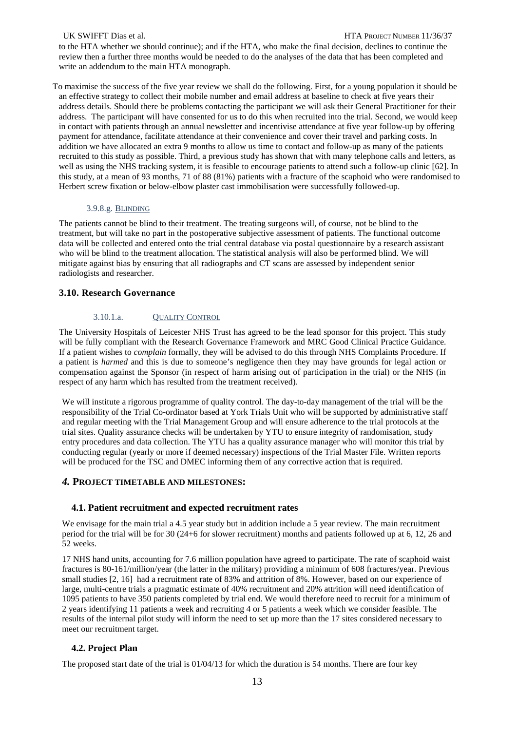#### UK SWIFFT Dias et al. **HTA PROJECT NUMBER 11/36/37**

to the HTA whether we should continue); and if the HTA, who make the final decision, declines to continue the review then a further three months would be needed to do the analyses of the data that has been completed and write an addendum to the main HTA monograph.

To maximise the success of the five year review we shall do the following. First, for a young population it should be an effective strategy to collect their mobile number and email address at baseline to check at five years their address details. Should there be problems contacting the participant we will ask their General Practitioner for their address. The participant will have consented for us to do this when recruited into the trial. Second, we would keep in contact with patients through an annual newsletter and incentivise attendance at five year follow-up by offering payment for attendance, facilitate attendance at their convenience and cover their travel and parking costs. In addition we have allocated an extra 9 months to allow us time to contact and follow-up as many of the patients recruited to this study as possible. Third, a previous study has shown that with many telephone calls and letters, as well as using the NHS tracking system, it is feasible to encourage patients to attend such a follow-up clinic [62]. In this study, at a mean of 93 months, 71 of 88 (81%) patients with a fracture of the scaphoid who were randomised to Herbert screw fixation or below-elbow plaster cast immobilisation were successfully followed-up.

## 3.9.8.g. BLINDING

The patients cannot be blind to their treatment. The treating surgeons will, of course, not be blind to the treatment, but will take no part in the postoperative subjective assessment of patients. The functional outcome data will be collected and entered onto the trial central database via postal questionnaire by a research assistant who will be blind to the treatment allocation. The statistical analysis will also be performed blind. We will mitigate against bias by ensuring that all radiographs and CT scans are assessed by independent senior radiologists and researcher.

# **3.10. Research Governance**

# 3.10.1.a. QUALITY CONTROL

The University Hospitals of Leicester NHS Trust has agreed to be the lead sponsor for this project. This study will be fully compliant with the Research Governance Framework and MRC Good Clinical Practice Guidance. If a patient wishes to *complain* formally, they will be advised to do this through NHS Complaints Procedure. If a patient is *harmed* and this is due to someone's negligence then they may have grounds for legal action or compensation against the Sponsor (in respect of harm arising out of participation in the trial) or the NHS (in respect of any harm which has resulted from the treatment received).

We will institute a rigorous programme of quality control. The day-to-day management of the trial will be the responsibility of the Trial Co-ordinator based at York Trials Unit who will be supported by administrative staff and regular meeting with the Trial Management Group and will ensure adherence to the trial protocols at the trial sites. Quality assurance checks will be undertaken by YTU to ensure integrity of randomisation, study entry procedures and data collection. The YTU has a quality assurance manager who will monitor this trial by conducting regular (yearly or more if deemed necessary) inspections of the Trial Master File. Written reports will be produced for the TSC and DMEC informing them of any corrective action that is required.

#### *4.* **PROJECT TIMETABLE AND MILESTONES:**

# **4.1. Patient recruitment and expected recruitment rates**

We envisage for the main trial a 4.5 year study but in addition include a 5 year review. The main recruitment period for the trial will be for 30 (24+6 for slower recruitment) months and patients followed up at 6, 12, 26 and 52 weeks.

17 NHS hand units, accounting for 7.6 million population have agreed to participate. The rate of scaphoid waist fractures is 80-161/million/year (the latter in the military) providing a minimum of 608 fractures/year. Previous small studies [2, 16] had a recruitment rate of 83% and attrition of 8%. However, based on our experience of large, multi-centre trials a pragmatic estimate of 40% recruitment and 20% attrition will need identification of 1095 patients to have 350 patients completed by trial end. We would therefore need to recruit for a minimum of 2 years identifying 11 patients a week and recruiting 4 or 5 patients a week which we consider feasible. The results of the internal pilot study will inform the need to set up more than the 17 sites considered necessary to meet our recruitment target.

# **4.2. Project Plan**

The proposed start date of the trial is 01/04/13 for which the duration is 54 months. There are four key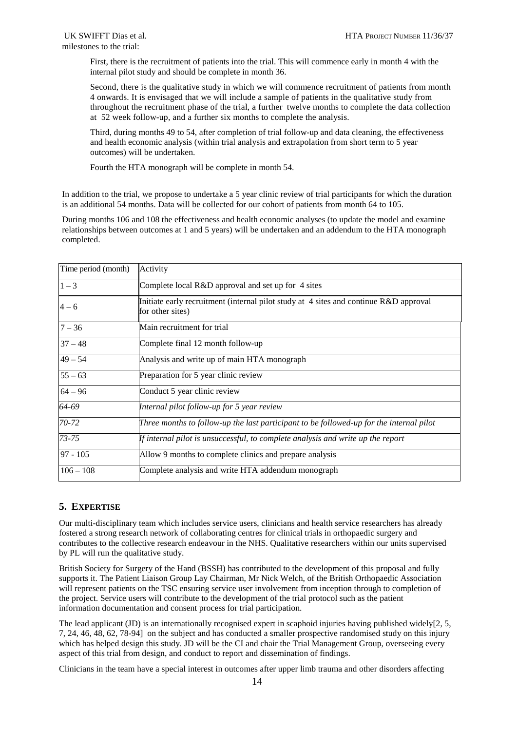First, there is the recruitment of patients into the trial. This will commence early in month 4 with the internal pilot study and should be complete in month 36.

Second, there is the qualitative study in which we will commence recruitment of patients from month 4 onwards. It is envisaged that we will include a sample of patients in the qualitative study from throughout the recruitment phase of the trial, a further twelve months to complete the data collection at 52 week follow-up, and a further six months to complete the analysis.

Third, during months 49 to 54, after completion of trial follow-up and data cleaning, the effectiveness and health economic analysis (within trial analysis and extrapolation from short term to 5 year outcomes) will be undertaken.

Fourth the HTA monograph will be complete in month 54.

In addition to the trial, we propose to undertake a 5 year clinic review of trial participants for which the duration is an additional 54 months. Data will be collected for our cohort of patients from month 64 to 105.

During months 106 and 108 the effectiveness and health economic analyses (to update the model and examine relationships between outcomes at 1 and 5 years) will be undertaken and an addendum to the HTA monograph completed.

| Time period (month) | Activity                                                                                                       |
|---------------------|----------------------------------------------------------------------------------------------------------------|
| $1 - 3$             | Complete local R&D approval and set up for 4 sites                                                             |
| $4 - 6$             | Initiate early recruitment (internal pilot study at $\,$ 4 sites and continue R&D approval<br>for other sites) |
| $7 - 36$            | Main recruitment for trial                                                                                     |
| $37 - 48$           | Complete final 12 month follow-up                                                                              |
| $49 - 54$           | Analysis and write up of main HTA monograph                                                                    |
| $55 - 63$           | Preparation for 5 year clinic review                                                                           |
| $64 - 96$           | Conduct 5 year clinic review                                                                                   |
| 64-69               | Internal pilot follow-up for 5 year review                                                                     |
| 70-72               | Three months to follow-up the last participant to be followed-up for the internal pilot                        |
| $73 - 75$           | If internal pilot is unsuccessful, to complete analysis and write up the report                                |
| $97 - 105$          | Allow 9 months to complete clinics and prepare analysis                                                        |
| $106 - 108$         | Complete analysis and write HTA addendum monograph                                                             |

# **5. EXPERTISE**

Our multi-disciplinary team which includes service users, clinicians and health service researchers has already fostered a strong research network of collaborating centres for clinical trials in orthopaedic surgery and contributes to the collective research endeavour in the NHS. Qualitative researchers within our units supervised by PL will run the qualitative study.

British Society for Surgery of the Hand (BSSH) has contributed to the development of this proposal and fully supports it. The Patient Liaison Group Lay Chairman, Mr Nick Welch, of the British Orthopaedic Association will represent patients on the TSC ensuring service user involvement from inception through to completion of the project. Service users will contribute to the development of the trial protocol such as the patient information documentation and consent process for trial participation.

The lead applicant (JD) is an internationally recognised expert in scaphoid injuries having published widely[2, 5, 7, 24, 46, 48, 62, 78-94] on the subject and has conducted a smaller prospective randomised study on this injury which has helped design this study. JD will be the CI and chair the Trial Management Group, overseeing every aspect of this trial from design, and conduct to report and dissemination of findings.

Clinicians in the team have a special interest in outcomes after upper limb trauma and other disorders affecting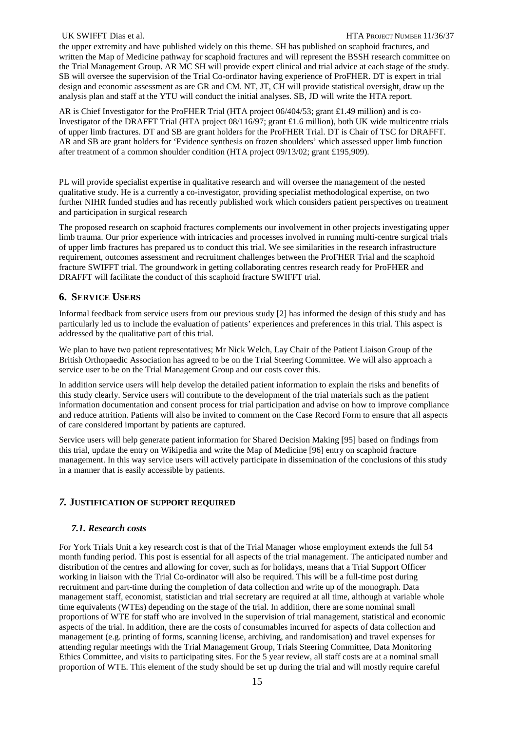the upper extremity and have published widely on this theme. SH has published on scaphoid fractures, and written the Map of Medicine pathway for scaphoid fractures and will represent the BSSH research committee on the Trial Management Group. AR MC SH will provide expert clinical and trial advice at each stage of the study. SB will oversee the supervision of the Trial Co-ordinator having experience of ProFHER. DT is expert in trial design and economic assessment as are GR and CM. NT, JT, CH will provide statistical oversight, draw up the analysis plan and staff at the YTU will conduct the initial analyses. SB, JD will write the HTA report.

AR is Chief Investigator for the ProFHER Trial (HTA project 06/404/53; grant £1.49 million) and is co-Investigator of the DRAFFT Trial (HTA project 08/116/97; grant £1.6 million), both UK wide multicentre trials of upper limb fractures. DT and SB are grant holders for the ProFHER Trial. DT is Chair of TSC for [DRAFFT.](http://drafft.ar/)  [AR](http://drafft.ar/) and SB are grant holders for 'Evidence synthesis on frozen shoulders' which assessed upper limb function after treatment of a common shoulder condition (HTA project  $09/13/02$ ; grant £195,909).

PL will provide specialist expertise in qualitative research and will oversee the management of the nested qualitative study. He is a currently a co-investigator, providing specialist methodological expertise, on two further NIHR funded studies and has recently published work which considers patient perspectives on treatment and participation in surgical research

The proposed research on scaphoid fractures complements our involvement in other projects investigating upper limb trauma. Our prior experience with intricacies and processes involved in running multi-centre surgical trials of upper limb fractures has prepared us to conduct this trial. We see similarities in the research infrastructure requirement, outcomes assessment and recruitment challenges between the ProFHER Trial and the scaphoid fracture SWIFFT trial. The groundwork in getting collaborating centres research ready for ProFHER and DRAFFT will facilitate the conduct of this scaphoid fracture SWIFFT trial.

# **6. SERVICE USERS**

Informal feedback from service users from our previous study [2] has informed the design of this study and has particularly led us to include the evaluation of patients' experiences and preferences in this trial. This aspect is addressed by the qualitative part of this trial.

We plan to have two patient representatives; Mr Nick Welch, Lay Chair of the Patient Liaison Group of the British Orthopaedic Association has agreed to be on the Trial Steering Committee. We will also approach a service user to be on the Trial Management Group and our costs cover this.

In addition service users will help develop the detailed patient information to explain the risks and benefits of this study clearly. Service users will contribute to the development of the trial materials such as the patient information documentation and consent process for trial participation and advise on how to improve compliance and reduce attrition. Patients will also be invited to comment on the Case Record Form to ensure that all aspects of care considered important by patients are captured.

Service users will help generate patient information for Shared Decision Making [95] based on findings from this trial, update the entry on Wikipedia and write the Map of Medicine [96] entry on scaphoid fracture management. In this way service users will actively participate in dissemination of the conclusions of this study in a manner that is easily accessible by patients.

# *7.* **JUSTIFICATION OF SUPPORT REQUIRED**

# *7.1. Research costs*

For York Trials Unit a key research cost is that of the Trial Manager whose employment extends the full 54 month funding period. This post is essential for all aspects of the trial management. The anticipated number and distribution of the centres and allowing for cover, such as for holidays, means that a Trial Support Officer working in liaison with the Trial Co-ordinator will also be required. This will be a full-time post during recruitment and part-time during the completion of data collection and write up of the monograph. Data management staff, economist, statistician and trial secretary are required at all time, although at variable whole time equivalents (WTEs) depending on the stage of the trial. In addition, there are some nominal small proportions of WTE for staff who are involved in the supervision of trial management, statistical and economic aspects of the trial. In addition, there are the costs of consumables incurred for aspects of data collection and management (e.g. printing of forms, scanning license, archiving, and randomisation) and travel expenses for attending regular meetings with the Trial Management Group, Trials Steering Committee, Data Monitoring Ethics Committee, and visits to participating sites. For the 5 year review, all staff costs are at a nominal small proportion of WTE. This element of the study should be set up during the trial and will mostly require careful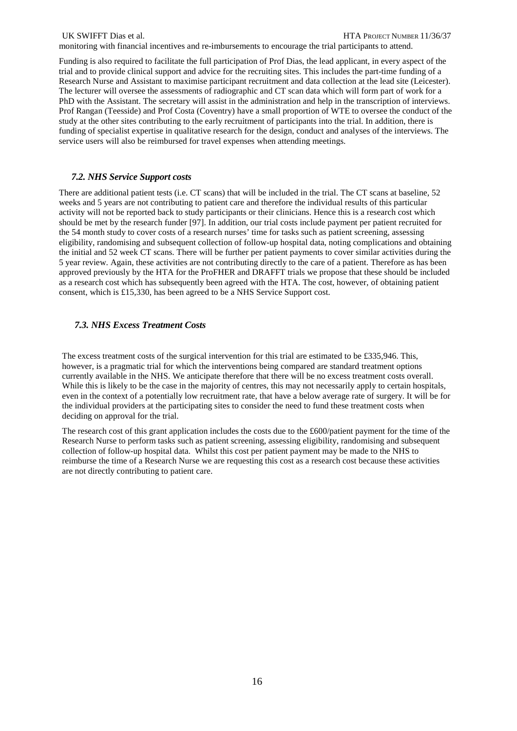monitoring with financial incentives and re-imbursements to encourage the trial participants to attend.

Funding is also required to facilitate the full participation of Prof Dias, the lead applicant, in every aspect of the trial and to provide clinical support and advice for the recruiting sites. This includes the part-time funding of a Research Nurse and Assistant to maximise participant recruitment and data collection at the lead site (Leicester). The lecturer will oversee the assessments of radiographic and CT scan data which will form part of work for a PhD with the Assistant. The secretary will assist in the administration and help in the transcription of interviews. Prof Rangan (Teesside) and Prof Costa (Coventry) have a small proportion of WTE to oversee the conduct of the study at the other sites contributing to the early recruitment of participants into the trial. In addition, there is funding of specialist expertise in qualitative research for the design, conduct and analyses of the interviews. The service users will also be reimbursed for travel expenses when attending meetings.

# *7.2. NHS Service Support costs*

There are additional patient tests (i.e. CT scans) that will be included in the trial. The CT scans at baseline, 52 weeks and 5 years are not contributing to patient care and therefore the individual results of this particular activity will not be reported back to study participants or their clinicians. Hence this is a research cost which should be met by the research funder [97]. In addition, our trial costs include payment per patient recruited for the 54 month study to cover costs of a research nurses' time for tasks such as patient screening, assessing eligibility, randomising and subsequent collection of follow-up hospital data, noting complications and obtaining the initial and 52 week CT scans. There will be further per patient payments to cover similar activities during the 5 year review. Again, these activities are not contributing directly to the care of a patient. Therefore as has been approved previously by the HTA for the ProFHER and DRAFFT trials we propose that these should be included as a research cost which has subsequently been agreed with the HTA. The cost, however, of obtaining patient consent, which is £15,330, has been agreed to be a NHS Service Support cost.

# *7.3. NHS Excess Treatment Costs*

The excess treatment costs of the surgical intervention for this trial are estimated to be £335,946. This, however, is a pragmatic trial for which the interventions being compared are standard treatment options currently available in the NHS. We anticipate therefore that there will be no excess treatment costs overall. While this is likely to be the case in the majority of centres, this may not necessarily apply to certain hospitals, even in the context of a potentially low recruitment rate, that have a below average rate of surgery. It will be for the individual providers at the participating sites to consider the need to fund these treatment costs when deciding on approval for the trial.

The research cost of this grant application includes the costs due to the £600/patient payment for the time of the Research Nurse to perform tasks such as patient screening, assessing eligibility, randomising and subsequent collection of follow-up hospital data. Whilst this cost per patient payment may be made to the NHS to reimburse the time of a Research Nurse we are requesting this cost as a research cost because these activities are not directly contributing to patient care.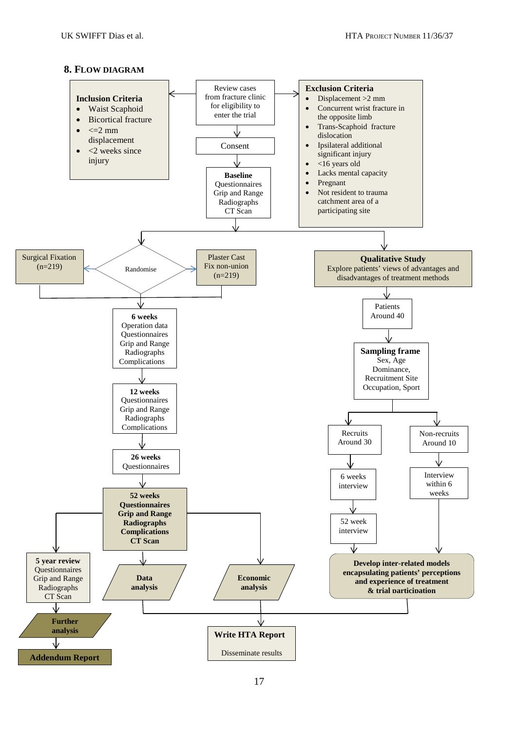# **8. FLOW DIAGRAM**

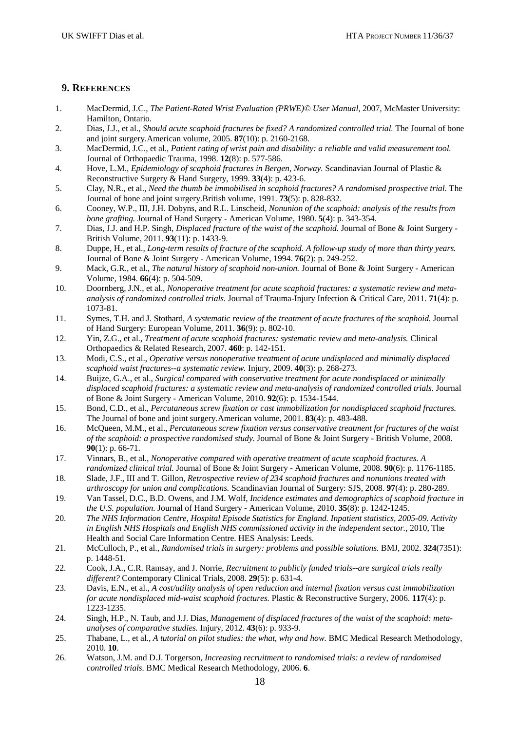# **9. REFERENCES**

- 1. MacDermid, J.C., *The Patient-Rated Wrist Evaluation (PRWE)© User Manual*, 2007, McMaster University: Hamilton, Ontario.
- 2. Dias, J.J., et al., *Should acute scaphoid fractures be fixed? A randomized controlled trial.* The Journal of bone and joint surgery.American volume, 2005. **87**(10): p. 2160-2168.
- 3. MacDermid, J.C., et al., *Patient rating of wrist pain and disability: a reliable and valid measurement tool.* Journal of Orthopaedic Trauma, 1998. **12**(8): p. 577-586.
- 4. Hove, L.M., *Epidemiology of scaphoid fractures in Bergen, Norway.* Scandinavian Journal of Plastic & Reconstructive Surgery & Hand Surgery, 1999. **33**(4): p. 423-6.
- 5. Clay, N.R., et al., *Need the thumb be immobilised in scaphoid fractures? A randomised prospective trial.* The Journal of bone and joint surgery.British volume, 1991. **73**(5): p. 828-832.
- 6. Cooney, W.P., III, J.H. Dobyns, and R.L. Linscheid, *Nonunion of the scaphoid: analysis of the results from bone grafting.* Journal of Hand Surgery - American Volume, 1980. **5**(4): p. 343-354.
- 7. Dias, J.J. and H.P. Singh, *Displaced fracture of the waist of the scaphoid.* Journal of Bone & Joint Surgery British Volume, 2011. **93**(11): p. 1433-9.
- 8. Duppe, H., et al., *Long-term results of fracture of the scaphoid. A follow-up study of more than thirty years.* Journal of Bone & Joint Surgery - American Volume, 1994. **76**(2): p. 249-252.
- 9. Mack, G.R., et al., *The natural history of scaphoid non-union.* Journal of Bone & Joint Surgery American Volume, 1984. **66**(4): p. 504-509.
- 10. Doornberg, J.N., et al., *Nonoperative treatment for acute scaphoid fractures: a systematic review and metaanalysis of randomized controlled trials.* Journal of Trauma-Injury Infection & Critical Care, 2011. **71**(4): p. 1073-81.
- 11. Symes, T.H. and J. Stothard, *A systematic review of the treatment of acute fractures of the scaphoid.* Journal of Hand Surgery: European Volume, 2011. **36**(9): p. 802-10.
- 12. Yin, Z.G., et al., *Treatment of acute scaphoid fractures: systematic review and meta-analysis.* Clinical Orthopaedics & Related Research, 2007. **460**: p. 142-151.
- 13. Modi, C.S., et al., *Operative versus nonoperative treatment of acute undisplaced and minimally displaced scaphoid waist fractures--a systematic review.* Injury, 2009. **40**(3): p. 268-273.
- 14. Buijze, G.A., et al., *Surgical compared with conservative treatment for acute nondisplaced or minimally displaced scaphoid fractures: a systematic review and meta-analysis of randomized controlled trials.* Journal of Bone & Joint Surgery - American Volume, 2010. **92**(6): p. 1534-1544.
- 15. Bond, C.D., et al., *Percutaneous screw fixation or cast immobilization for nondisplaced scaphoid fractures.* The Journal of bone and joint surgery.American volume, 2001. **83**(4): p. 483-488.
- 16. McQueen, M.M., et al., *Percutaneous screw fixation versus conservative treatment for fractures of the waist of the scaphoid: a prospective randomised study.* Journal of Bone & Joint Surgery - British Volume, 2008. **90**(1): p. 66-71.
- 17. Vinnars, B., et al., *Nonoperative compared with operative treatment of acute scaphoid fractures. A randomized clinical trial.* Journal of Bone & Joint Surgery - American Volume, 2008. **90**(6): p. 1176-1185.
- 18. Slade, J.F., III and T. Gillon, *Retrospective review of 234 scaphoid fractures and nonunions treated with arthroscopy for union and complications.* Scandinavian Journal of Surgery: SJS, 2008. **97**(4): p. 280-289.
- 19. Van Tassel, D.C., B.D. Owens, and J.M. Wolf, *Incidence estimates and demographics of scaphoid fracture in the U.S. population.* Journal of Hand Surgery - American Volume, 2010. **35**(8): p. 1242-1245.
- 20. *The NHS Information Centre, Hospital Episode Statistics for England. Inpatient statistics, 2005-09. Activity in English NHS Hospitals and English NHS commissioned activity in the independent sector.*, 2010, The Health and Social Care Information Centre. HES Analysis: Leeds.
- 21. McCulloch, P., et al., *Randomised trials in surgery: problems and possible solutions.* BMJ, 2002. **324**(7351): p. 1448-51.
- 22. Cook, J.A., C.R. Ramsay, and J. Norrie, *Recruitment to publicly funded trials--are surgical trials really different?* Contemporary Clinical Trials, 2008. **29**(5): p. 631-4.
- 23. Davis, E.N., et al., *A cost/utility analysis of open reduction and internal fixation versus cast immobilization for acute nondisplaced mid-waist scaphoid fractures.* Plastic & Reconstructive Surgery, 2006. **117**(4): p. 1223-1235.
- 24. Singh, H.P., N. Taub, and J.J. Dias, *Management of displaced fractures of the waist of the scaphoid: metaanalyses of comparative studies.* Injury, 2012. **43**(6): p. 933-9.
- 25. Thabane, L., et al., *A tutorial on pilot studies: the what, why and how.* BMC Medical Research Methodology, 2010. **10**.
- 26. Watson, J.M. and D.J. Torgerson, *Increasing recruitment to randomised trials: a review of randomised controlled trials.* BMC Medical Research Methodology, 2006. **6**.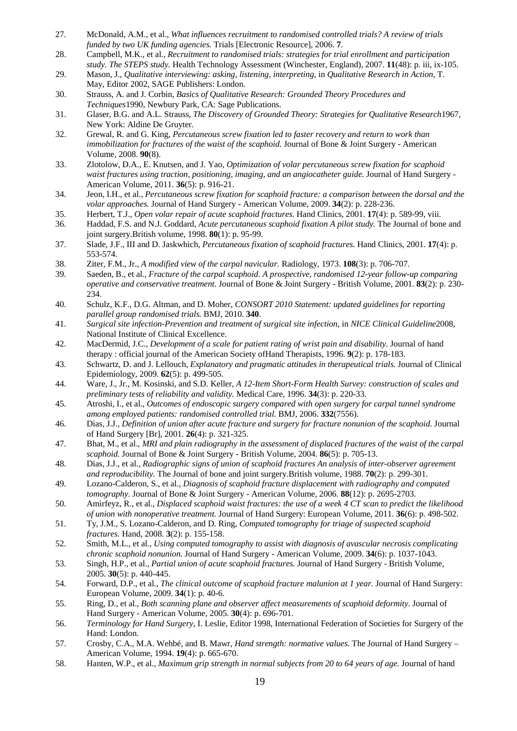- 27. McDonald, A.M., et al., *What influences recruitment to randomised controlled trials? A review of trials funded by two UK funding agencies.* Trials [Electronic Resource], 2006. **7**.
- 28. Campbell, M.K., et al., *Recruitment to randomised trials: strategies for trial enrollment and participation study. The STEPS study.* Health Technology Assessment (Winchester, England), 2007. **11**(48): p. iii, ix-105.
- 29. Mason, J., *Qualitative interviewing: asking, listening, interpreting*, in *Qualitative Research in Action*, T. May, Editor 2002, SAGE Publishers: London.
- 30. Strauss, A. and J. Corbin, *Basics of Qualitative Research: Grounded Theory Procedures and Techniques*1990, Newbury Park, CA: Sage Publications.
- 31. Glaser, B.G. and A.L. Strauss, *The Discovery of Grounded Theory: Strategies for Qualitative Research*1967, New York: Aldine De Gruyter.
- 32. Grewal, R. and G. King, *Percutaneous screw fixation led to faster recovery and return to work than immobilization for fractures of the waist of the scaphoid.* Journal of Bone & Joint Surgery - American Volume, 2008. **90**(8).
- 33. Zlotolow, D.A., E. Knutsen, and J. Yao, *Optimization of volar percutaneous screw fixation for scaphoid waist fractures using traction, positioning, imaging, and an angiocatheter guide.* Journal of Hand Surgery - American Volume, 2011. **36**(5): p. 916-21.
- 34. Jeon, I.H., et al., *Percutaneous screw fixation for scaphoid fracture: a comparison between the dorsal and the volar approaches.* Journal of Hand Surgery - American Volume, 2009. **34**(2): p. 228-236.
- 35. Herbert, T.J., *Open volar repair of acute scaphoid fractures.* Hand Clinics, 2001. **17**(4): p. 589-99, viii.
- 36. Haddad, F.S. and N.J. Goddard, *Acute percutaneous scaphoid fixation A pilot study.* The Journal of bone and joint surgery.British volume, 1998. **80**(1): p. 95-99.
- 37. Slade, J.F., III and D. Jaskwhich, *Percutaneous fixation of scaphoid fractures.* Hand Clinics, 2001. **17**(4): p. 553-574.
- 38. Ziter, F.M., Jr., *A modified view of the carpal navicular.* Radiology, 1973. **108**(3): p. 706-707.
- 39. Saeden, B., et al., *Fracture of the carpal scaphoid. A prospective, randomised 12-year follow-up comparing operative and conservative treatment.* Journal of Bone & Joint Surgery - British Volume, 2001. **83**(2): p. 230- 234.
- 40. Schulz, K.F., D.G. Altman, and D. Moher, *CONSORT 2010 Statement: updated guidelines for reporting parallel group randomised trials.* BMJ, 2010. **340**.
- 41. *Surgical site infection-Prevention and treatment of surgical site infection*, in *NICE Clinical Guideline*2008, National Institute of Clinical Excellence.
- 42. MacDermid, J.C., *Development of a scale for patient rating of wrist pain and disability.* Journal of hand therapy : official journal of the American Society ofHand Therapists, 1996. **9**(2): p. 178-183.
- 43. Schwartz, D. and J. Lellouch, *Explanatory and pragmatic attitudes in therapeutical trials.* Journal of Clinical Epidemiology, 2009. **62**(5): p. 499-505.
- 44. Ware, J., Jr., M. Kosinski, and S.D. Keller, *A 12-Item Short-Form Health Survey: construction of scales and preliminary tests of reliability and validity.* Medical Care, 1996. **34**(3): p. 220-33.
- 45. Atroshi, I., et al., *Outcomes of endoscopic surgery compared with open surgery for carpal tunnel syndrome among employed patients: randomised controlled trial.* BMJ, 2006. **332**(7556).
- 46. Dias, J.J., *Definition of union after acute fracture and surgery for fracture nonunion of the scaphoid.* Journal of Hand Surgery [Br], 2001. **26**(4): p. 321-325.
- 47. Bhat, M., et al., *MRI and plain radiography in the assessment of displaced fractures of the waist of the carpal scaphoid.* Journal of Bone & Joint Surgery - British Volume, 2004. **86**(5): p. 705-13.
- 48. Dias, J.J., et al., *Radiographic signs of union of scaphoid fractures An analysis of inter-observer agreement and reproducibility.* The Journal of bone and joint surgery.British volume, 1988. **70**(2): p. 299-301.
- 49. Lozano-Calderon, S., et al., *Diagnosis of scaphoid fracture displacement with radiography and computed tomography.* Journal of Bone & Joint Surgery - American Volume, 2006. **88**(12): p. 2695-2703.
- 50. Amirfeyz, R., et al., *Displaced scaphoid waist fractures: the use of a week 4 CT scan to predict the likelihood of union with nonoperative treatment.* Journal of Hand Surgery: European Volume, 2011. **36**(6): p. 498-502.
- 51. Ty, J.M., S. Lozano-Calderon, and D. Ring, *Computed tomography for triage of suspected scaphoid fractures.* Hand, 2008. **3**(2): p. 155-158.
- 52. Smith, M.L., et al., *Using computed tomography to assist with diagnosis of avascular necrosis complicating chronic scaphoid nonunion.* Journal of Hand Surgery - American Volume, 2009. **34**(6): p. 1037-1043.
- 53. Singh, H.P., et al., *Partial union of acute scaphoid fractures.* Journal of Hand Surgery British Volume, 2005. **30**(5): p. 440-445.
- 54. Forward, D.P., et al., *The clinical outcome of scaphoid fracture malunion at 1 year.* Journal of Hand Surgery: European Volume, 2009. **34**(1): p. 40-6.
- 55. Ring, D., et al., *Both scanning plane and observer affect measurements of scaphoid deformity.* Journal of Hand Surgery - American Volume, 2005. **30**(4): p. 696-701.
- 56. *Terminology for Hand Surgery*, I. Leslie, Editor 1998, International Federation of Societies for Surgery of the Hand: London.
- 57. Crosby, C.A., M.A. Wehbé, and B. Mawr, *Hand strength: normative values.* The Journal of Hand Surgery American Volume, 1994. **19**(4): p. 665-670.
- 58. Hanten, W.P., et al., *Maximum grip strength in normal subjects from 20 to 64 years of age.* Journal of hand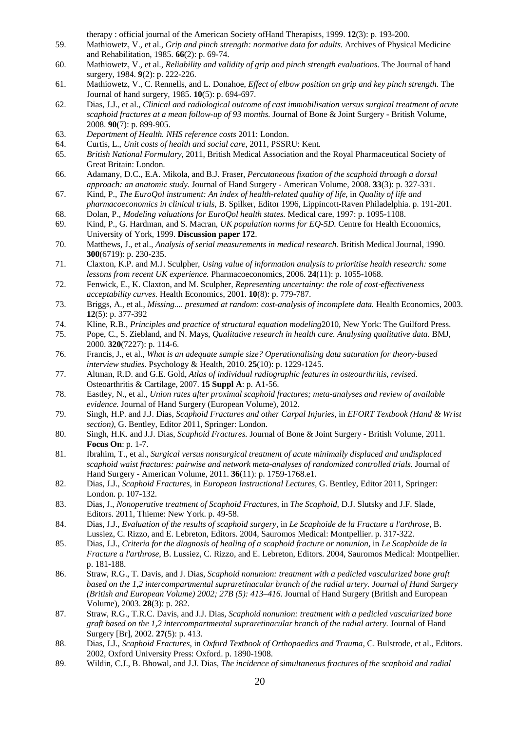therapy : official journal of the American Society ofHand Therapists, 1999. **12**(3): p. 193-200.

- 59. Mathiowetz, V., et al., *Grip and pinch strength: normative data for adults.* Archives of Physical Medicine and Rehabilitation, 1985. **66**(2): p. 69-74.
- 60. Mathiowetz, V., et al., *Reliability and validity of grip and pinch strength evaluations.* The Journal of hand surgery, 1984. **9**(2): p. 222-226.
- 61. Mathiowetz, V., C. Rennells, and L. Donahoe, *Effect of elbow position on grip and key pinch strength.* The Journal of hand surgery, 1985. **10**(5): p. 694-697.
- 62. Dias, J.J., et al., *Clinical and radiological outcome of cast immobilisation versus surgical treatment of acute scaphoid fractures at a mean follow-up of 93 months.* Journal of Bone & Joint Surgery - British Volume, 2008. **90**(7): p. 899-905.
- 63. *Department of Health. NHS reference costs* 2011: London.
- 64. Curtis, L., *Unit costs of health and social care*, 2011, PSSRU: Kent.
- 65. *British National Formulary*, 2011, British Medical Association and the Royal Pharmaceutical Society of Great Britain: London.
- 66. Adamany, D.C., E.A. Mikola, and B.J. Fraser, *Percutaneous fixation of the scaphoid through a dorsal approach: an anatomic study.* Journal of Hand Surgery - American Volume, 2008. **33**(3): p. 327-331.
- 67. Kind, P., *The EuroQol instrument: An index of health-related quality of life*, in *Quality of life and pharmacoeconomics in clinical trials*, B. Spilker, Editor 1996, Lippincott-Raven Philadelphia. p. 191-201.
- 68. Dolan, P., *Modeling valuations for EuroQol health states.* Medical care, 1997: p. 1095-1108.
- 69. Kind, P., G. Hardman, and S. Macran, *UK population norms for EQ-5D.* Centre for Health Economics, University of York, 1999. **Discussion paper 172**.
- 70. Matthews, J., et al., *Analysis of serial measurements in medical research.* British Medical Journal, 1990. **300**(6719): p. 230-235.
- 71. Claxton, K.P. and M.J. Sculpher, *Using value of information analysis to prioritise health research: some lessons from recent UK experience.* Pharmacoeconomics, 2006. **24**(11): p. 1055-1068.
- 72. Fenwick, E., K. Claxton, and M. Sculpher, *Representing uncertainty: the role of cost-effectiveness acceptability curves.* Health Economics, 2001. **10**(8): p. 779-787.
- 73. Briggs, A., et al., *Missing.... presumed at random: cost-analysis of incomplete data.* Health Economics, 2003. **12**(5): p. 377-392
- 74. Kline, R.B., *Principles and practice of structural equation modeling*2010, New York: The Guilford Press.
- 75. Pope, C., S. Ziebland, and N. Mays, *Qualitative research in health care. Analysing qualitative data.* BMJ, 2000. **320**(7227): p. 114-6.
- 76. Francis, J., et al., *What is an adequate sample size? Operationalising data saturation for theory-based interview studies.* Psychology & Health, 2010. **25**(10): p. 1229-1245.
- 77. Altman, R.D. and G.E. Gold, *Atlas of individual radiographic features in osteoarthritis, revised.* Osteoarthritis & Cartilage, 2007. **15 Suppl A**: p. A1-56.
- 78. Eastley, N., et al., *Union rates after proximal scaphoid fractures; meta-analyses and review of available evidence.* Journal of Hand Surgery (European Volume), 2012.
- 79. Singh, H.P. and J.J. Dias, *Scaphoid Fractures and other Carpal Injuries*, in *EFORT Textbook (Hand & Wrist section)*, G. Bentley, Editor 2011, Springer: London.
- 80. Singh, H.K. and J.J. Dias, *Scaphoid Fractures.* Journal of Bone & Joint Surgery British Volume, 2011. **Focus On**: p. 1-7.
- 81. Ibrahim, T., et al., *Surgical versus nonsurgical treatment of acute minimally displaced and undisplaced scaphoid waist fractures: pairwise and network meta-analyses of randomized controlled trials.* Journal of Hand Surgery - American Volume, 2011. **36**(11): p. 1759-1768.e1.
- 82. Dias, J.J., *Scaphoid Fractures*, in *European Instructional Lectures*, G. Bentley, Editor 2011, Springer: London. p. 107-132.
- 83. Dias, J., *Nonoperative treatment of Scaphoid Fractures*, in *The Scaphoid*, D.J. Slutsky and J.F. Slade, Editors. 2011, Thieme: New York. p. 49-58.
- 84. Dias, J.J., *Evaluation of the results of scaphoid surgery*, in *Le Scaphoide de la Fracture a l'arthrose*, B. Lussiez, C. Rizzo, and E. Lebreton, Editors. 2004, Sauromos Medical: Montpellier. p. 317-322.
- 85. Dias, J.J., *Criteria for the diagnosis of healing of a scaphoid fracture or nonunion*, in *Le Scaphoide de la Fracture a l'arthrose*, B. Lussiez, C. Rizzo, and E. Lebreton, Editors. 2004, Sauromos Medical: Montpellier. p. 181-188.
- 86. Straw, R.G., T. Davis, and J. Dias, *Scaphoid nonunion: treatment with a pedicled vascularized bone graft based on the 1,2 intercompartmental supraretinacular branch of the radial artery. Journal of Hand Surgery (British and European Volume) 2002; 27B (5): 413–416.* Journal of Hand Surgery (British and European Volume), 2003. **28**(3): p. 282.
- 87. Straw, R.G., T.R.C. Davis, and J.J. Dias, *Scaphoid nonunion: treatment with a pedicled vascularized bone graft based on the 1,2 intercompartmental supraretinacular branch of the radial artery.* Journal of Hand Surgery [Br], 2002. **27**(5): p. 413.
- 88. Dias, J.J., *Scaphoid Fractures*, in *Oxford Textbook of Orthopaedics and Trauma*, C. Bulstrode, et al., Editors. 2002, Oxford University Press: Oxford. p. 1890-1908.
- 89. Wildin, C.J., B. Bhowal, and J.J. Dias, *The incidence of simultaneous fractures of the scaphoid and radial*